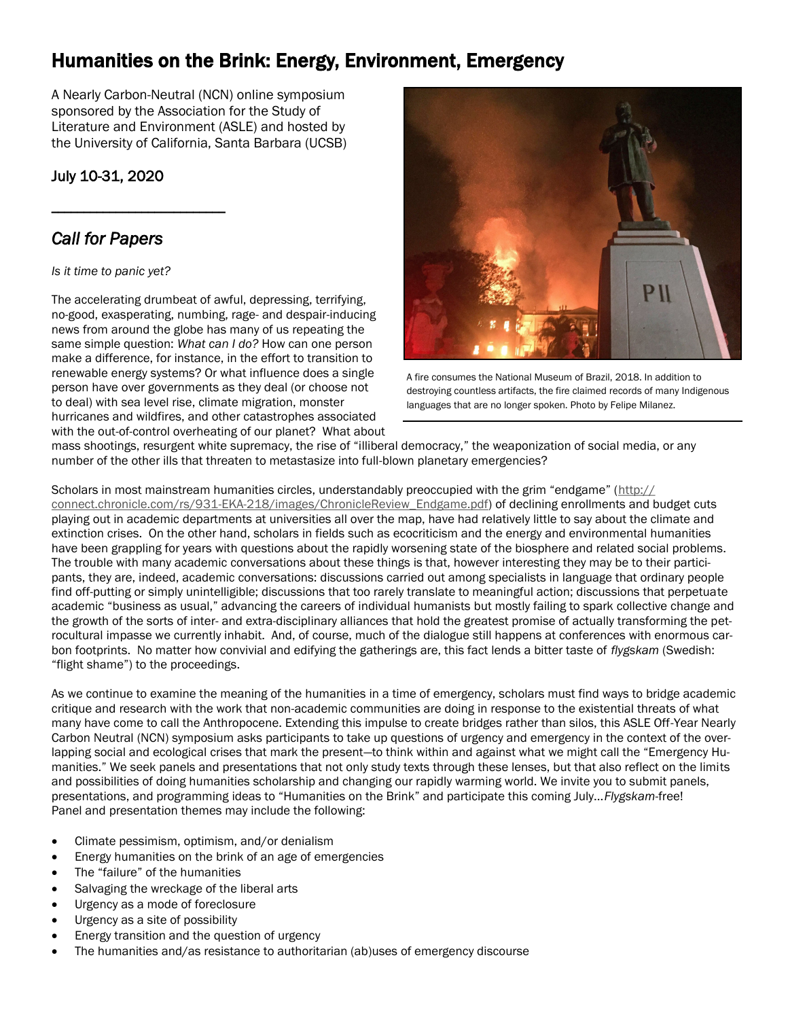# Humanities on the Brink: Energy, Environment, Emergency

A Nearly Carbon-Neutral (NCN) online symposium sponsored by the Association for the Study of Literature and Environment (ASLE) and hosted by the University of California, Santa Barbara (UCSB)

### July 10-31, 2020

\_\_\_\_\_\_\_\_\_\_\_\_\_\_\_\_\_\_\_\_\_\_\_\_\_\_\_

## *Call for Papers*

#### *Is it time to panic yet?*

The accelerating drumbeat of awful, depressing, terrifying, no-good, exasperating, numbing, rage- and despair-inducing news from around the globe has many of us repeating the same simple question: *What can I do?* How can one person make a difference, for instance, in the effort to transition to renewable energy systems? Or what influence does a single person have over governments as they deal (or choose not to deal) with sea level rise, climate migration, monster hurricanes and wildfires, and other catastrophes associated with the out-of-control overheating of our planet? What about



A fire consumes the National Museum of Brazil, 2018. In addition to destroying countless artifacts, the fire claimed records of many Indigenous languages that are no longer spoken. Photo by Felipe Milanez.

mass shootings, resurgent white supremacy, the rise of "illiberal democracy," the weaponization of social media, or any number of the other ills that threaten to metastasize into full-blown planetary emergencies?

Scholars in most mainstream humanities circles, understandably preoccupied with the grim "endgame" ([http://](http://connect.chronicle.com/rs/931-EKA-218/images/ChronicleReview_Endgame.pdf) [connect.chronicle.com/rs/931-EKA-218/images/ChronicleReview\\_Endgame.pdf\)](http://connect.chronicle.com/rs/931-EKA-218/images/ChronicleReview_Endgame.pdf) of declining enrollments and budget cuts playing out in academic departments at universities all over the map, have had relatively little to say about the climate and extinction crises. On the other hand, scholars in fields such as ecocriticism and the energy and environmental humanities have been grappling for years with questions about the rapidly worsening state of the biosphere and related social problems. The trouble with many academic conversations about these things is that, however interesting they may be to their participants, they are, indeed, academic conversations: discussions carried out among specialists in language that ordinary people find off-putting or simply unintelligible; discussions that too rarely translate to meaningful action; discussions that perpetuate academic "business as usual," advancing the careers of individual humanists but mostly failing to spark collective change and the growth of the sorts of inter- and extra-disciplinary alliances that hold the greatest promise of actually transforming the petrocultural impasse we currently inhabit. And, of course, much of the dialogue still happens at conferences with enormous carbon footprints. No matter how convivial and edifying the gatherings are, this fact lends a bitter taste of *flygskam* (Swedish: "flight shame") to the proceedings.

As we continue to examine the meaning of the humanities in a time of emergency, scholars must find ways to bridge academic critique and research with the work that non-academic communities are doing in response to the existential threats of what many have come to call the Anthropocene. Extending this impulse to create bridges rather than silos, this ASLE Off-Year Nearly Carbon Neutral (NCN) symposium asks participants to take up questions of urgency and emergency in the context of the overlapping social and ecological crises that mark the present—to think within and against what we might call the "Emergency Humanities." We seek panels and presentations that not only study texts through these lenses, but that also reflect on the limits and possibilities of doing humanities scholarship and changing our rapidly warming world. We invite you to submit panels, presentations, and programming ideas to "Humanities on the Brink" and participate this coming July...*Flygskam*-free! Panel and presentation themes may include the following:

- Climate pessimism, optimism, and/or denialism
- Energy humanities on the brink of an age of emergencies
- The "failure" of the humanities
- Salvaging the wreckage of the liberal arts
- Urgency as a mode of foreclosure
- Urgency as a site of possibility
- Energy transition and the question of urgency
- The humanities and/as resistance to authoritarian (ab)uses of emergency discourse